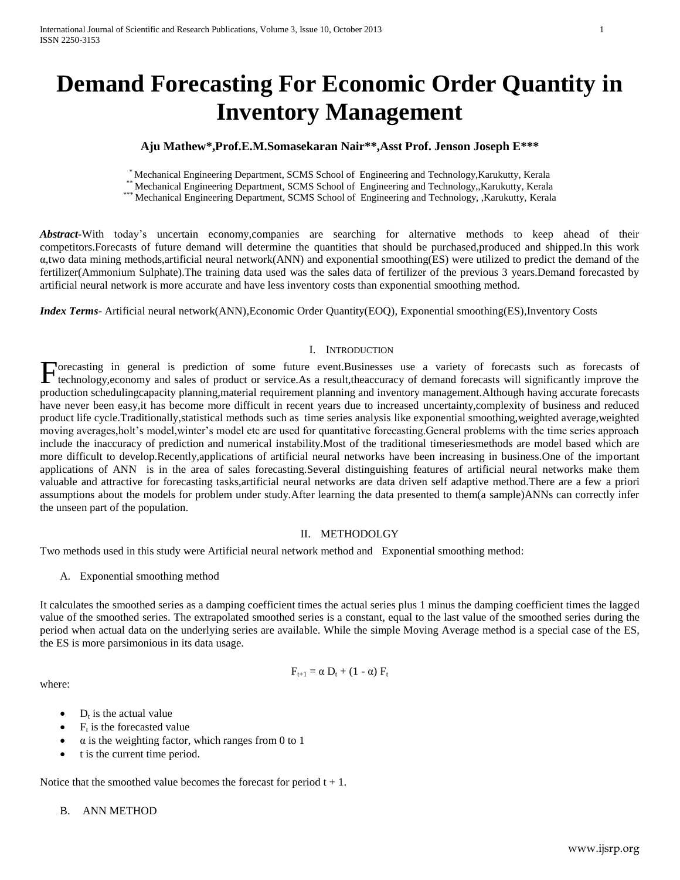# **Demand Forecasting For Economic Order Quantity in Inventory Management**

# **Aju Mathew\*,Prof.E.M.Somasekaran Nair\*\*,Asst Prof. Jenson Joseph E\*\*\***

\* Mechanical Engineering Department, SCMS School of Engineering and Technology,Karukutty, Kerala

\*\* Mechanical Engineering Department, SCMS School of Engineering and Technology,,Karukutty, Kerala

\*\*\* Mechanical Engineering Department, SCMS School of Engineering and Technology, ,Karukutty, Kerala

*Abstract***-**With today's uncertain economy,companies are searching for alternative methods to keep ahead of their competitors.Forecasts of future demand will determine the quantities that should be purchased,produced and shipped.In this work α,two data mining methods,artificial neural network(ANN) and exponential smoothing(ES) were utilized to predict the demand of the fertilizer(Ammonium Sulphate).The training data used was the sales data of fertilizer of the previous 3 years.Demand forecasted by artificial neural network is more accurate and have less inventory costs than exponential smoothing method.

*Index Terms*- Artificial neural network(ANN),Economic Order Quantity(EOQ), Exponential smoothing(ES),Inventory Costs

#### I. INTRODUCTION

Forecasting in general is prediction of some future event.Businesses use a variety of forecasts such as forecasts of technology, economy and sales of product or service.As a result, the accuracy of demand forecasts will si technology,economy and sales of product or service.As a result,theaccuracy of demand forecasts will significantly improve the production schedulingcapacity planning,material requirement planning and inventory management.Although having accurate forecasts have never been easy,it has become more difficult in recent years due to increased uncertainty,complexity of business and reduced product life cycle.Traditionally,statistical methods such as time series analysis like exponential smoothing,weighted average,weighted moving averages,holt's model,winter's model etc are used for quantitative forecasting.General problems with the time series approach include the inaccuracy of prediction and numerical instability.Most of the traditional timeseriesmethods are model based which are more difficult to develop.Recently,applications of artificial neural networks have been increasing in business.One of the important applications of ANN is in the area of sales forecasting.Several distinguishing features of artificial neural networks make them valuable and attractive for forecasting tasks,artificial neural networks are data driven self adaptive method.There are a few a priori assumptions about the models for problem under study.After learning the data presented to them(a sample)ANNs can correctly infer the unseen part of the population.

#### II. METHODOLGY

Two methods used in this study were Artificial neural network method and Exponential smoothing method:

A. Exponential smoothing method

It calculates the smoothed series as a damping coefficient times the actual series plus 1 minus the damping coefficient times the lagged value of the smoothed series. The extrapolated smoothed series is a constant, equal to the last value of the smoothed series during the period when actual data on the underlying series are available. While the simple Moving Average method is a special case of the ES, the ES is more parsimonious in its data usage.

where:

$$
F_{t+1} = \alpha D_t + (1 - \alpha) F_t
$$

- $D_t$  is the actual value
- $\bullet$  F<sub>t</sub> is the forecasted value
- $\alpha$  is the weighting factor, which ranges from 0 to 1
- t is the current time period.

Notice that the smoothed value becomes the forecast for period  $t + 1$ .

# B. ANN METHOD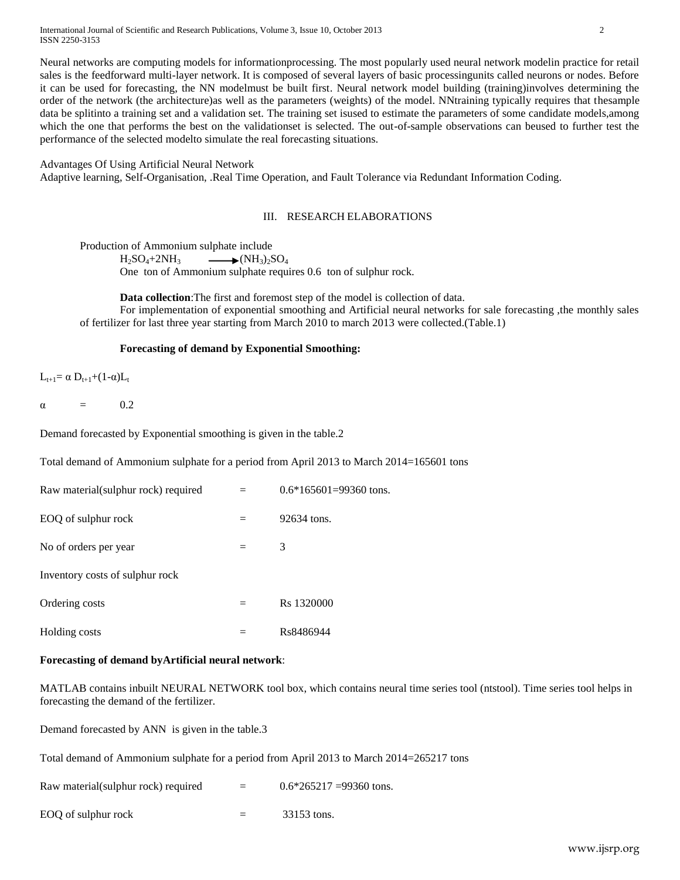International Journal of Scientific and Research Publications, Volume 3, Issue 10, October 2013 2 ISSN 2250-3153

Neural networks are computing models for informationprocessing. The most popularly used neural network modelin practice for retail sales is the feedforward multi-layer network. It is composed of several layers of basic processingunits called neurons or nodes. Before it can be used for forecasting, the NN modelmust be built first. Neural network model building (training)involves determining the order of the network (the architecture)as well as the parameters (weights) of the model. NNtraining typically requires that thesample data be splitinto a training set and a validation set. The training set isused to estimate the parameters of some candidate models,among which the one that performs the best on the validationset is selected. The out-of-sample observations can beused to further test the performance of the selected modelto simulate the real forecasting situations.

# Advantages Of Using Artificial Neural Network

Adaptive learning, Self-Organisation, .Real Time Operation, and Fault Tolerance via Redundant Information Coding.

#### III. RESEARCH ELABORATIONS

Production of Ammonium sulphate include

 $H_2SO_4+2NH_3$   $\longrightarrow$   $(NH_3)_2SO_4$ 

One ton of Ammonium sulphate requires 0.6 ton of sulphur rock.

**Data collection**:The first and foremost step of the model is collection of data.

For implementation of exponential smoothing and Artificial neural networks for sale forecasting ,the monthly sales of fertilizer for last three year starting from March 2010 to march 2013 were collected.(Table.1)

# **Forecasting of demand by Exponential Smoothing:**

 $L_{t+1} = \alpha D_{t+1} + (1-\alpha) L_t$ 

 $\alpha = 0.2$ 

Demand forecasted by Exponential smoothing is given in the table.2

Total demand of Ammonium sulphate for a period from April 2013 to March 2014=165601 tons

| Raw material (sulphur rock) required | $0.6*165601=99360$ tons. |
|--------------------------------------|--------------------------|
| EOQ of sulphur rock                  | 92634 tons.              |
| No of orders per year                | 3                        |
| Inventory costs of sulphur rock      |                          |
| Ordering costs                       | R <sub>s</sub> 1320000   |
| Holding costs                        | Rs8486944                |

# **Forecasting of demand byArtificial neural network**:

MATLAB contains inbuilt NEURAL NETWORK tool box, which contains neural time series tool (ntstool). Time series tool helps in forecasting the demand of the fertilizer.

Demand forecasted by ANN is given in the table.3

Total demand of Ammonium sulphate for a period from April 2013 to March 2014=265217 tons

Raw material(sulphur rock) required  $=$  0.6\*265217 =99360 tons.

EOQ of sulphur rock  $=$  33153 tons.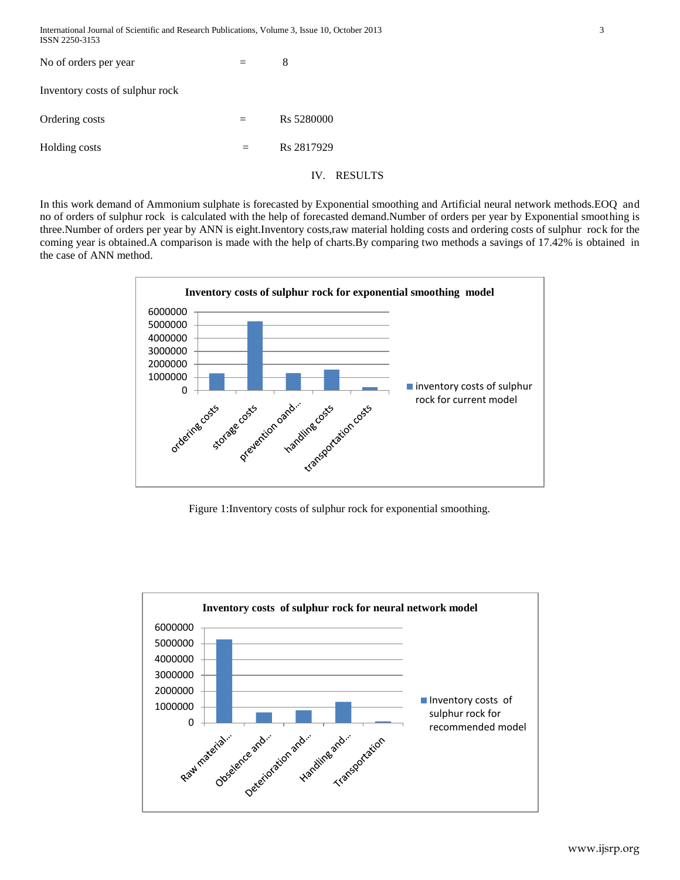| International Journal of Scientific and Research Publications, Volume 3, Issue 10, October 2013 |  |
|-------------------------------------------------------------------------------------------------|--|
| ISSN 2250-3153                                                                                  |  |

| No of orders per year           |     | 8              |
|---------------------------------|-----|----------------|
| Inventory costs of sulphur rock |     |                |
| Ordering costs                  |     | Rs 5280000     |
| Holding costs                   | $=$ | Rs 2817929     |
|                                 |     | RESULTS<br>IV. |

In this work demand of Ammonium sulphate is forecasted by Exponential smoothing and Artificial neural network methods.EOQ and no of orders of sulphur rock is calculated with the help of forecasted demand.Number of orders per year by Exponential smoothing is three.Number of orders per year by ANN is eight.Inventory costs,raw material holding costs and ordering costs of sulphur rock for the coming year is obtained.A comparison is made with the help of charts.By comparing two methods a savings of 17.42% is obtained in the case of ANN method.



Figure 1:Inventory costs of sulphur rock for exponential smoothing.

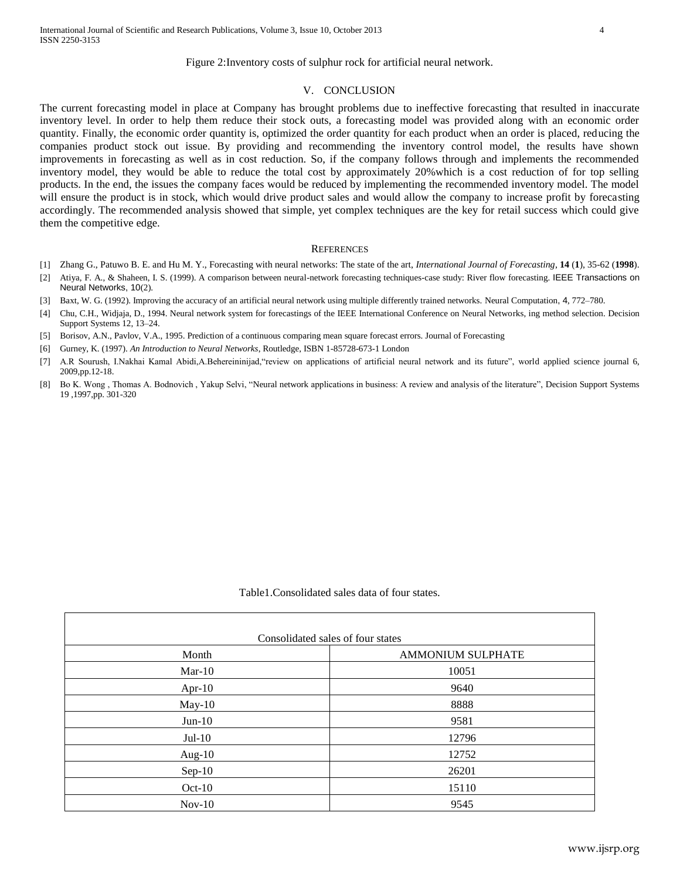#### V. CONCLUSION

The current forecasting model in place at Company has brought problems due to ineffective forecasting that resulted in inaccurate inventory level. In order to help them reduce their stock outs, a forecasting model was provided along with an economic order quantity. Finally, the economic order quantity is, optimized the order quantity for each product when an order is placed, reducing the companies product stock out issue. By providing and recommending the inventory control model, the results have shown improvements in forecasting as well as in cost reduction. So, if the company follows through and implements the recommended inventory model, they would be able to reduce the total cost by approximately 20%which is a cost reduction of for top selling products. In the end, the issues the company faces would be reduced by implementing the recommended inventory model. The model will ensure the product is in stock, which would drive product sales and would allow the company to increase profit by forecasting accordingly. The recommended analysis showed that simple, yet complex techniques are the key for retail success which could give them the competitive edge.

#### **REFERENCES**

- [1] Zhang G., Patuwo B. E. and Hu M. Y., Forecasting with neural networks: The state of the art, *International Journal of Forecasting*, **14** (**1**), 35-62 (**1998**).
- [2] Atiya, F. A., & Shaheen, I. S. (1999). A comparison between neural-network forecasting techniques-case study: River flow forecasting. IEEE Transactions on Neural Networks, 10(2).
- [3] Baxt, W. G. (1992). Improving the accuracy of an artificial neural network using multiple differently trained networks. Neural Computation, 4, 772–780.
- [4] Chu, C.H., Widjaja, D., 1994. Neural network system for forecastings of the IEEE International Conference on Neural Networks, ing method selection. Decision Support Systems 12, 13–24.
- [5] Borisov, A.N., Pavlov, V.A., 1995. Prediction of a continuous comparing mean square forecast errors. Journal of Forecasting
- [6] Gurney, K. (1997). *An Introduction to Neural Networks*, Routledge, ISBN 1-85728-673-1 London
- [7] A.R Sourush, I.Nakhai Kamal Abidi,A.Behereininijad,"review on applications of artificial neural network and its future", world applied science journal 6, 2009,pp.12-18.
- [8] Bo K. Wong , Thomas A. Bodnovich , Yakup Selvi, "Neural network applications in business: A review and analysis of the literature", Decision Support Systems 19 ,1997,pp. 301-320

Table1.Consolidated sales data of four states.

| Consolidated sales of four states |                          |  |
|-----------------------------------|--------------------------|--|
| Month                             | <b>AMMONIUM SULPHATE</b> |  |
| $Mar-10$                          | 10051                    |  |
| Apr- $10$                         | 9640                     |  |
| $May-10$                          | 8888                     |  |
| $Jun-10$                          | 9581                     |  |
| $Jul-10$                          | 12796                    |  |
| Aug- $10$                         | 12752                    |  |
| $Sep-10$                          | 26201                    |  |
| $Oct-10$                          | 15110                    |  |
| $Nov-10$                          | 9545                     |  |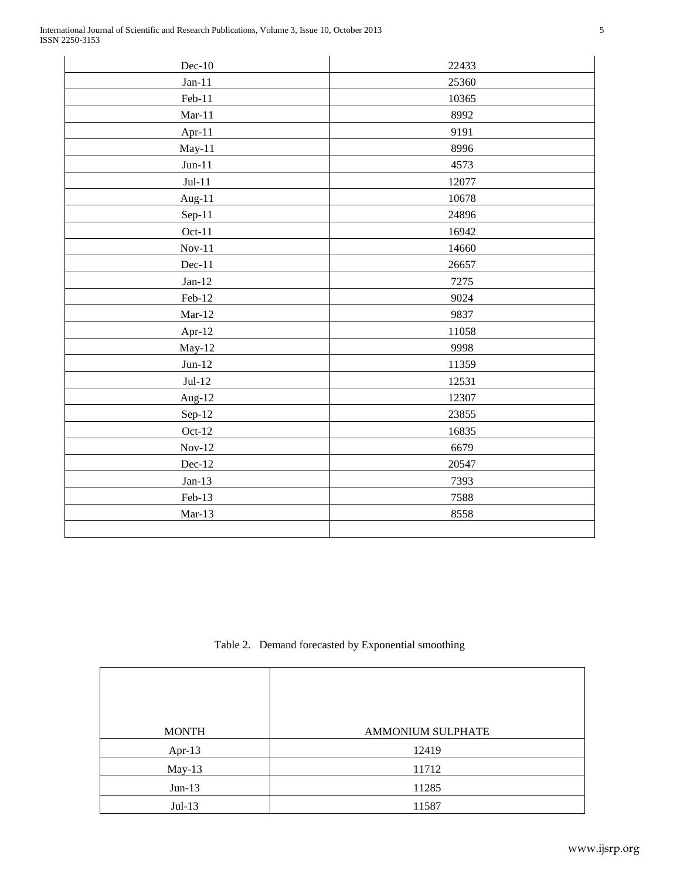| $Dec-10$         | 22433 |
|------------------|-------|
| $Jan-11$         | 25360 |
| Feb-11           | 10365 |
| $Mar-11$         | 8992  |
| Apr-11           | 9191  |
| May-11           | 8996  |
| $\,$ Jun-11 $\,$ | 4573  |
| $Jul-11$         | 12077 |
| Aug-11           | 10678 |
| $Sep-11$         | 24896 |
| $Oct-11$         | 16942 |
| $Nov-11$         | 14660 |
| $Dec-11$         | 26657 |
| $Jan-12$         | 7275  |
| Feb-12           | 9024  |
| $Mar-12$         | 9837  |
| Apr-12           | 11058 |
| May-12           | 9998  |
| $Jun-12$         | 11359 |
| $Jul-12$         | 12531 |
| Aug-12           | 12307 |
| Sep-12           | 23855 |
| $Oct-12$         | 16835 |
| $Nov-12$         | 6679  |
| Dec-12           | 20547 |
| $Jan-13$         | 7393  |
| Feb-13           | 7588  |
| $Mar-13$         | 8558  |
|                  |       |

Table 2. Demand forecasted by Exponential smoothing

| <b>MONTH</b> | AMMONIUM SULPHATE |
|--------------|-------------------|
| Apr- $13$    | 12419             |
| $May-13$     | 11712             |
| $Jun-13$     | 11285             |
| $Jul-13$     | 11587             |